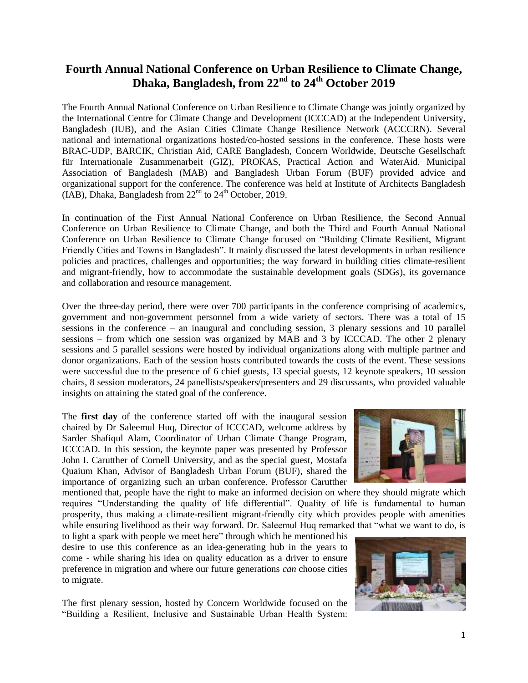## **Fourth Annual National Conference on Urban Resilience to Climate Change, Dhaka, Bangladesh, from 22nd to 24th October 2019**

The Fourth Annual National Conference on Urban Resilience to Climate Change was jointly organized by the International Centre for Climate Change and Development (ICCCAD) at the Independent University, Bangladesh (IUB), and the Asian Cities Climate Change Resilience Network (ACCCRN). Several national and international organizations hosted/co-hosted sessions in the conference. These hosts were BRAC-UDP, BARCIK, Christian Aid, CARE Bangladesh, Concern Worldwide, Deutsche Gesellschaft für Internationale Zusammenarbeit (GIZ), PROKAS, Practical Action and WaterAid. Municipal Association of Bangladesh (MAB) and Bangladesh Urban Forum (BUF) provided advice and organizational support for the conference. The conference was held at Institute of Architects Bangladesh (IAB), Dhaka, Bangladesh from  $22<sup>nd</sup>$  to  $24<sup>th</sup>$  October, 2019.

In continuation of the First Annual National Conference on Urban Resilience, the Second Annual Conference on Urban Resilience to Climate Change, and both the Third and Fourth Annual National Conference on Urban Resilience to Climate Change focused on "Building Climate Resilient, Migrant Friendly Cities and Towns in Bangladesh". It mainly discussed the latest developments in urban resilience policies and practices, challenges and opportunities; the way forward in building cities climate-resilient and migrant-friendly, how to accommodate the sustainable development goals (SDGs), its governance and collaboration and resource management.

Over the three-day period, there were over 700 participants in the conference comprising of academics, government and non-government personnel from a wide variety of sectors. There was a total of 15 sessions in the conference – an inaugural and concluding session, 3 plenary sessions and 10 parallel sessions – from which one session was organized by MAB and 3 by ICCCAD. The other 2 plenary sessions and 5 parallel sessions were hosted by individual organizations along with multiple partner and donor organizations. Each of the session hosts contributed towards the costs of the event. These sessions were successful due to the presence of 6 chief guests, 13 special guests, 12 keynote speakers, 10 session chairs, 8 session moderators, 24 panellists/speakers/presenters and 29 discussants, who provided valuable insights on attaining the stated goal of the conference.

The **first day** of the conference started off with the inaugural session chaired by Dr Saleemul Huq, Director of ICCCAD, welcome address by Sarder Shafiqul Alam, Coordinator of Urban Climate Change Program, ICCCAD. In this session, the keynote paper was presented by Professor John I. Carutther of Cornell University, and as the special guest, Mostafa Quaium Khan, Advisor of Bangladesh Urban Forum (BUF), shared the importance of organizing such an urban conference. Professor Carutther

mentioned that, people have the right to make an informed decision on where they should migrate which requires "Understanding the quality of life differential". Quality of life is fundamental to human prosperity, thus making a climate-resilient migrant-friendly city which provides people with amenities while ensuring livelihood as their way forward. Dr. Saleemul Huq remarked that "what we want to do, is

to light a spark with people we meet here" through which he mentioned his desire to use this conference as an idea-generating hub in the years to come - while sharing his idea on quality education as a driver to ensure preference in migration and where our future generations *can* choose cities to migrate.

The first plenary session, hosted by Concern Worldwide focused on the "Building a Resilient, Inclusive and Sustainable Urban Health System:



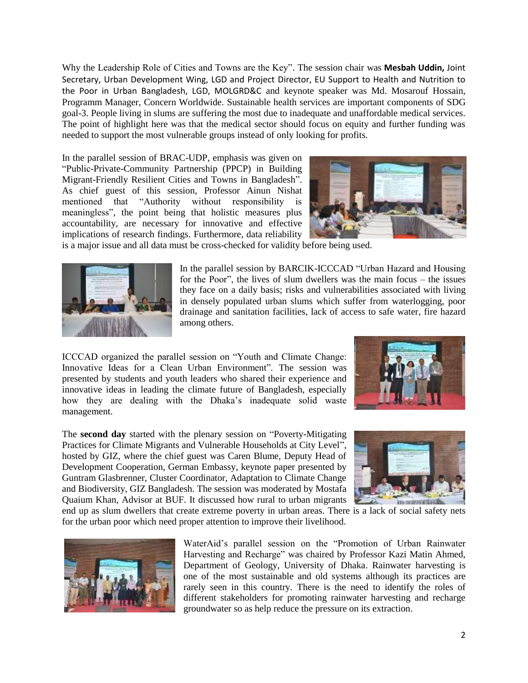Why the Leadership Role of Cities and Towns are the Key". The session chair was **Mesbah Uddin,** Joint Secretary, Urban Development Wing, LGD and Project Director, EU Support to Health and Nutrition to the Poor in Urban Bangladesh, LGD, MOLGRD&C and keynote speaker was Md. Mosarouf Hossain, Programm Manager, Concern Worldwide. Sustainable health services are important components of SDG goal-3. People living in slums are suffering the most due to inadequate and unaffordable medical services. The point of highlight here was that the medical sector should focus on equity and further funding was needed to support the most vulnerable groups instead of only looking for profits.

In the parallel session of BRAC-UDP, emphasis was given on "Public-Private-Community Partnership (PPCP) in Building Migrant-Friendly Resilient Cities and Towns in Bangladesh". As chief guest of this session, Professor Ainun Nishat mentioned that "Authority without responsibility is meaningless", the point being that holistic measures plus accountability, are necessary for innovative and effective implications of research findings. Furthermore, data reliability



is a major issue and all data must be cross-checked for validity before being used.



In the parallel session by BARCIK-ICCCAD "Urban Hazard and Housing for the Poor", the lives of slum dwellers was the main focus – the issues they face on a daily basis; risks and vulnerabilities associated with living in densely populated urban slums which suffer from waterlogging, poor drainage and sanitation facilities, lack of access to safe water, fire hazard among others.

ICCCAD organized the parallel session on "Youth and Climate Change: Innovative Ideas for a Clean Urban Environment". The session was presented by students and youth leaders who shared their experience and innovative ideas in leading the climate future of Bangladesh, especially how they are dealing with the Dhaka's inadequate solid waste management.



The **second day** started with the plenary session on "Poverty-Mitigating Practices for Climate Migrants and Vulnerable Households at City Level", hosted by GIZ, where the chief guest was Caren Blume, Deputy Head of Development Cooperation, German Embassy, keynote paper presented by Guntram Glasbrenner, Cluster Coordinator, Adaptation to Climate Change and Biodiversity, GIZ Bangladesh. The session was moderated by Mostafa Quaium Khan, Advisor at BUF. It discussed how rural to urban migrants



end up as slum dwellers that create extreme poverty in urban areas. There is a lack of social safety nets for the urban poor which need proper attention to improve their livelihood.



WaterAid's parallel session on the "Promotion of Urban Rainwater Harvesting and Recharge" was chaired by Professor Kazi Matin Ahmed, Department of Geology, University of Dhaka. Rainwater harvesting is one of the most sustainable and old systems although its practices are rarely seen in this country. There is the need to identify the roles of different stakeholders for promoting rainwater harvesting and recharge groundwater so as help reduce the pressure on its extraction.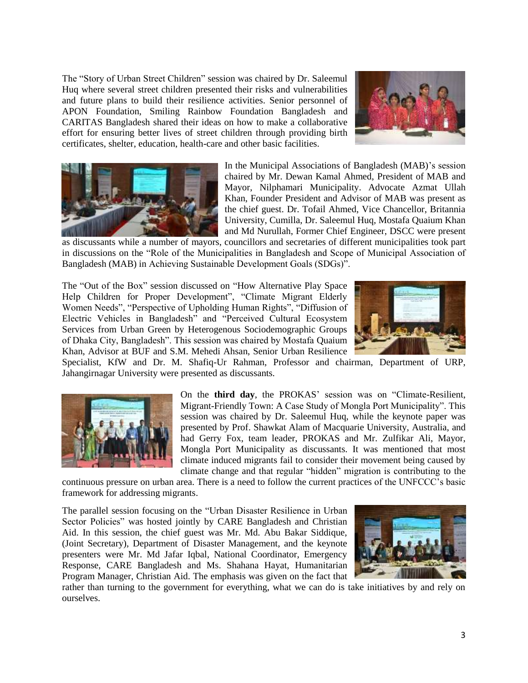The "Story of Urban Street Children" session was chaired by Dr. Saleemul Huq where several street children presented their risks and vulnerabilities and future plans to build their resilience activities. Senior personnel of APON Foundation, Smiling Rainbow Foundation Bangladesh and CARITAS Bangladesh shared their ideas on how to make a collaborative effort for ensuring better lives of street children through providing birth certificates, shelter, education, health-care and other basic facilities.





In the Municipal Associations of Bangladesh (MAB)'s session chaired by Mr. Dewan Kamal Ahmed, President of MAB and Mayor, Nilphamari Municipality. Advocate Azmat Ullah Khan, Founder President and Advisor of MAB was present as the chief guest. Dr. Tofail Ahmed, Vice Chancellor, Britannia University, Cumilla, Dr. Saleemul Huq, Mostafa Quaium Khan and Md Nurullah, Former Chief Engineer, DSCC were present

as discussants while a number of mayors, councillors and secretaries of different municipalities took part in discussions on the "Role of the Municipalities in Bangladesh and Scope of Municipal Association of Bangladesh (MAB) in Achieving Sustainable Development Goals (SDGs)".

The "Out of the Box" session discussed on "How Alternative Play Space Help Children for Proper Development", "Climate Migrant Elderly Women Needs", "Perspective of Upholding Human Rights", "Diffusion of Electric Vehicles in Bangladesh" and "Perceived Cultural Ecosystem Services from Urban Green by Heterogenous Sociodemographic Groups of Dhaka City, Bangladesh". This session was chaired by Mostafa Quaium Khan, Advisor at BUF and S.M. Mehedi Ahsan, Senior Urban Resilience



Specialist, KfW and Dr. M. Shafiq-Ur Rahman, Professor and chairman, Department of URP, Jahangirnagar University were presented as discussants.



On the **third day**, the PROKAS' session was on "Climate-Resilient, Migrant-Friendly Town: A Case Study of Mongla Port Municipality". This session was chaired by Dr. Saleemul Huq, while the keynote paper was presented by Prof. Shawkat Alam of Macquarie University, Australia, and had Gerry Fox, team leader, PROKAS and Mr. Zulfikar Ali, Mayor, Mongla Port Municipality as discussants. It was mentioned that most climate induced migrants fail to consider their movement being caused by climate change and that regular "hidden" migration is contributing to the

continuous pressure on urban area. There is a need to follow the current practices of the UNFCCC's basic framework for addressing migrants.

The parallel session focusing on the "Urban Disaster Resilience in Urban Sector Policies" was hosted jointly by CARE Bangladesh and Christian Aid. In this session, the chief guest was Mr. Md. Abu Bakar Siddique, (Joint Secretary), Department of Disaster Management, and the keynote presenters were Mr. Md Jafar Iqbal, National Coordinator, Emergency Response, CARE Bangladesh and Ms. Shahana Hayat, Humanitarian Program Manager, Christian Aid. The emphasis was given on the fact that



rather than turning to the government for everything, what we can do is take initiatives by and rely on ourselves.